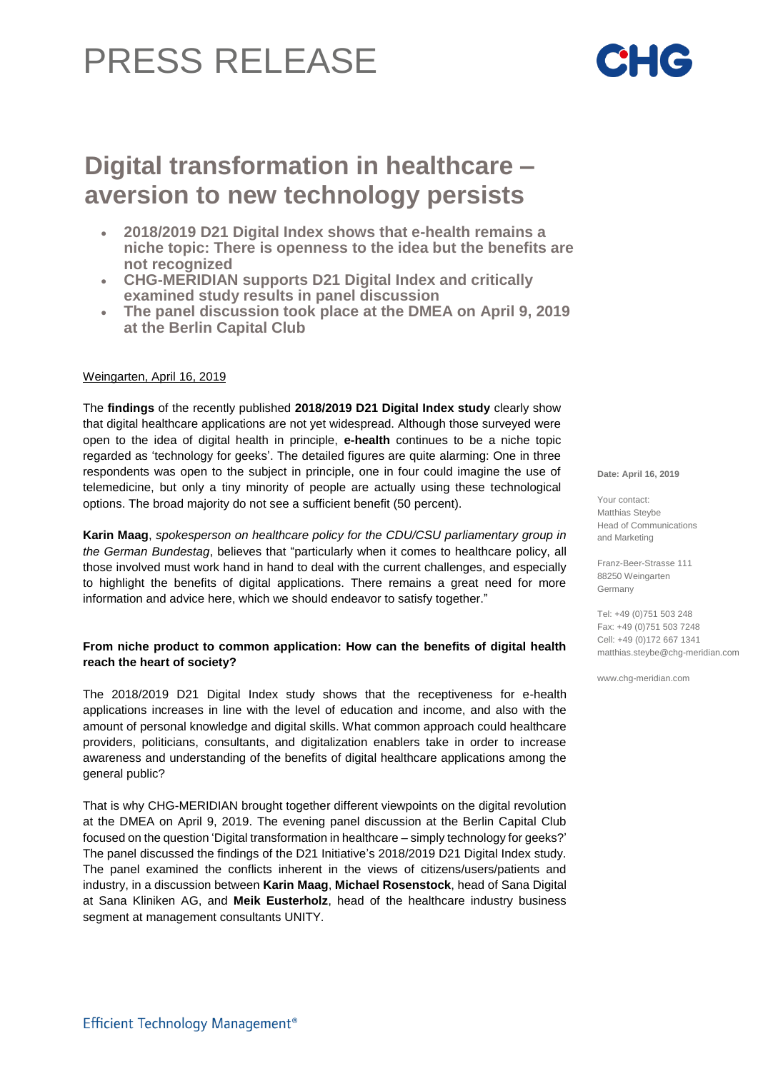# **Digital transformation in healthcare – aversion to new technology persists**

- **2018/2019 D21 Digital Index shows that e-health remains a niche topic: There is openness to the idea but the benefits are not recognized**
- **CHG-MERIDIAN supports D21 Digital Index and critically examined study results in panel discussion**
- **The panel discussion took place at the DMEA on April 9, 2019 at the Berlin Capital Club**

## Weingarten, April 16, 2019

The **findings** of the recently published **2018/2019 D21 Digital Index study** clearly show that digital healthcare applications are not yet widespread. Although those surveyed were open to the idea of digital health in principle, **e-health** continues to be a niche topic regarded as 'technology for geeks'. The detailed figures are quite alarming: One in three respondents was open to the subject in principle, one in four could imagine the use of telemedicine, but only a tiny minority of people are actually using these technological options. The broad majority do not see a sufficient benefit (50 percent).

**Karin Maag**, *spokesperson on healthcare policy for the CDU/CSU parliamentary group in the German Bundestag*, believes that "particularly when it comes to healthcare policy, all those involved must work hand in hand to deal with the current challenges, and especially to highlight the benefits of digital applications. There remains a great need for more information and advice here, which we should endeavor to satisfy together."

### **From niche product to common application: How can the benefits of digital health reach the heart of society?**

The 2018/2019 D21 Digital Index study shows that the receptiveness for e-health applications increases in line with the level of education and income, and also with the amount of personal knowledge and digital skills. What common approach could healthcare providers, politicians, consultants, and digitalization enablers take in order to increase awareness and understanding of the benefits of digital healthcare applications among the general public?

That is why CHG-MERIDIAN brought together different viewpoints on the digital revolution at the DMEA on April 9, 2019. The evening panel discussion at the Berlin Capital Club focused on the question 'Digital transformation in healthcare – simply technology for geeks?' The panel discussed the findings of the D21 Initiative's 2018/2019 D21 Digital Index study. The panel examined the conflicts inherent in the views of citizens/users/patients and industry, in a discussion between **Karin Maag**, **Michael Rosenstock**, head of Sana Digital at Sana Kliniken AG, and **Meik Eusterholz**, head of the healthcare industry business segment at management consultants UNITY.

**Date: April 16, 2019**

Your contact: Matthias Steybe Head of Communications and Marketing

Franz-Beer-Strasse 111 88250 Weingarten Germany

Tel: +49 (0)751 503 248 Fax: +49 (0)751 503 7248 Cell: +49 (0)172 667 1341 matthias.steybe@chg-meridian.com

www.chg-meridian.com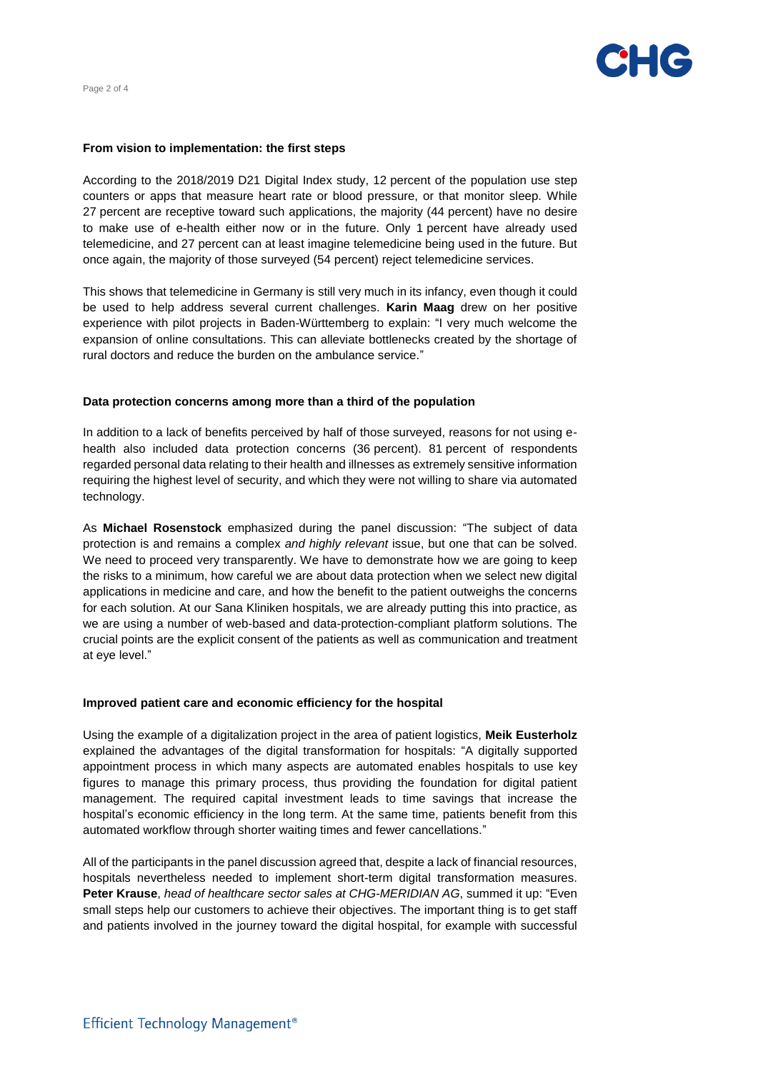

## From vision to implementation: the first steps

counters or apps that measure heart rate or blood pressure, or that monitor sleep. While According to the 2018/2019 D21 Digital Index study, 12 percent of the population use step 27 percent are receptive toward such applications, the majority (44 percent) have no desire to make use of e-health either now or in the future. Only 1 percent have already used telemedicine, and 27 percent can at least imagine telemedicine being used in the future. But once again, the majority of those surveyed (54 percent) reject telemedicine services.

This shows that telemedicine in Germany is still very much in its infancy, even though it could be used to help address several current challenges. **Karin Maag** drew on her positive experience with pilot projects in Baden-Württemberg to explain: "I very much welcome the expansion of online consultations. This can alleviate bottlenecks created by the shortage of rural doctors and reduce the burden on the ambulance service."

#### **Data protection concerns among more than a third of the population**

In addition to a lack of benefits perceived by half of those surveyed, reasons for not using ehealth also included data protection concerns (36 percent). 81 percent of respondents regarded personal data relating to their health and illnesses as extremely sensitive information requiring the highest level of security, and which they were not willing to share via automated technology.

As **Michael Rosenstock** emphasized during the panel discussion: "The subject of data protection is and remains a complex *and highly relevant* issue, but one that can be solved. We need to proceed very transparently. We have to demonstrate how we are going to keep the risks to a minimum, how careful we are about data protection when we select new digital applications in medicine and care, and how the benefit to the patient outweighs the concerns for each solution. At our Sana Kliniken hospitals, we are already putting this into practice, as we are using a number of web-based and data-protection-compliant platform solutions. The crucial points are the explicit consent of the patients as well as communication and treatment at eye level."

#### **Improved patient care and economic efficiency for the hospital**

Using the example of a digitalization project in the area of patient logistics, **Meik Eusterholz**  explained the advantages of the digital transformation for hospitals: "A digitally supported appointment process in which many aspects are automated enables hospitals to use key figures to manage this primary process, thus providing the foundation for digital patient management. The required capital investment leads to time savings that increase the hospital's economic efficiency in the long term. At the same time, patients benefit from this automated workflow through shorter waiting times and fewer cancellations."

All of the participants in the panel discussion agreed that, despite a lack of financial resources, hospitals nevertheless needed to implement short-term digital transformation measures. **Peter Krause**, *head of healthcare sector sales at CHG-MERIDIAN AG*, summed it up: "Even small steps help our customers to achieve their objectives. The important thing is to get staff and patients involved in the journey toward the digital hospital, for example with successful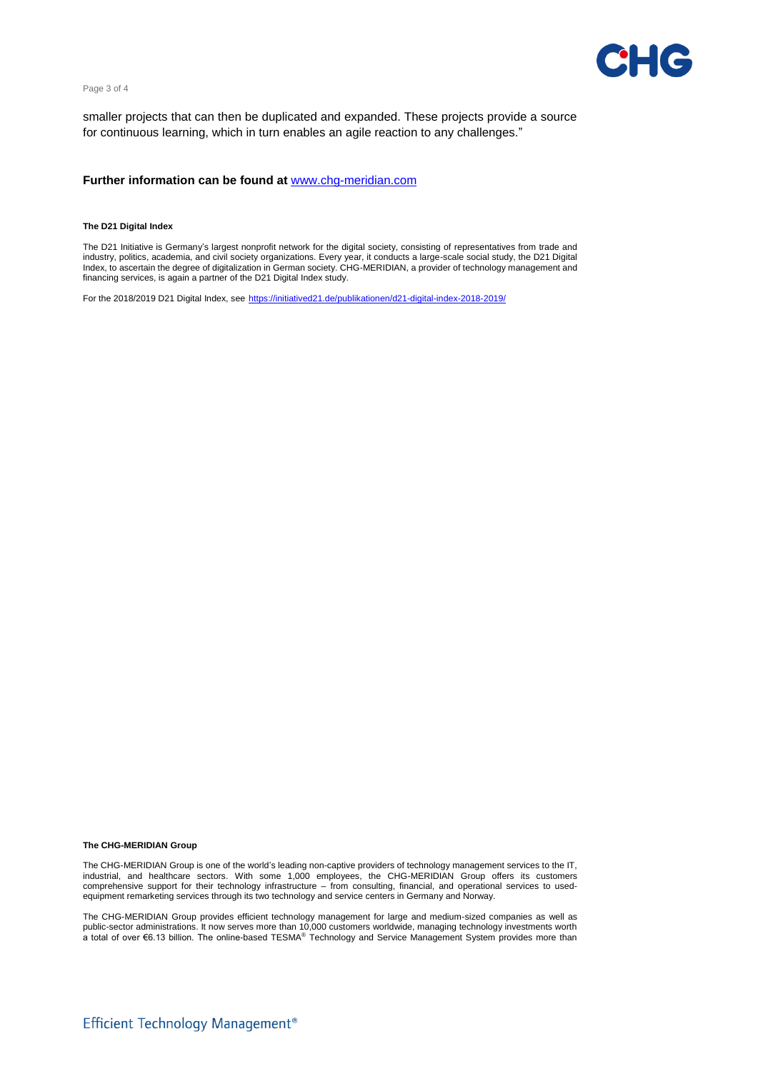



smaller projects that can then be duplicated and expanded. These projects provide a source for continuous learning, which in turn enables an agile reaction to any challenges."

#### **Further information can be found at** [www.chg-meridian.com](http://www.chg-meridian.com/)

#### **The D21 Digital Index**

The D21 Initiative is Germany's largest nonprofit network for the digital society, consisting of representatives from trade and industry, politics, academia, and civil society organizations. Every year, it conducts a large-scale social study, the D21 Digital Index, to ascertain the degree of digitalization in German society. CHG-MERIDIAN, a provider of technology management and financing services, is again a partner of the D21 Digital Index study.

For the 2018/2019 D21 Digital Index, see <https://initiatived21.de/publikationen/d21-digital-index-2018-2019/>

#### **The CHG-MERIDIAN Group**

The CHG-MERIDIAN Group is one of the world's leading non-captive providers of technology management services to the IT, industrial, and healthcare sectors. With some 1,000 employees, the CHG-MERIDIAN Group offers its customers comprehensive support for their technology infrastructure – from consulting, financial, and operational services to usedequipment remarketing services through its two technology and service centers in Germany and Norway.

The CHG-MERIDIAN Group provides efficient technology management for large and medium-sized companies as well as public-sector administrations. It now serves more than 10,000 customers worldwide, managing technology investments worth<br>a total of over €6.13 billion. The online-based TESMA® Technology and Service Management System prov